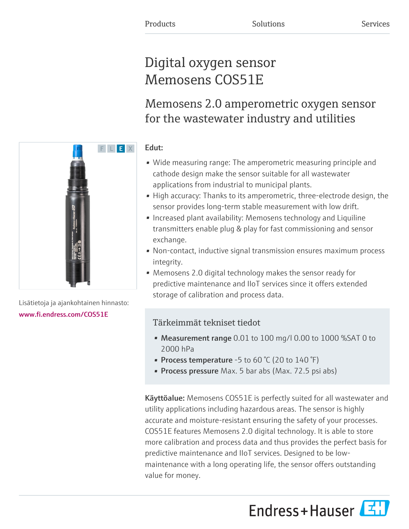# Digital oxygen sensor Memosens COS51E

Memosens 2.0 amperometric oxygen sensor for the wastewater industry and utilities

# Edut:

- Wide measuring range: The amperometric measuring principle and cathode design make the sensor suitable for all wastewater applications from industrial to municipal plants.
- High accuracy: Thanks to its amperometric, three-electrode design, the sensor provides long-term stable measurement with low drift.
- Increased plant availability: Memosens technology and Liquiline transmitters enable plug & play for fast commissioning and sensor exchange.
- Non-contact, inductive signal transmission ensures maximum process integrity.
- Memosens 2.0 digital technology makes the sensor ready for predictive maintenance and IIoT services since it offers extended storage of calibration and process data.

# Tärkeimmät tekniset tiedot

- Measurement range 0.01 to 100 mg/l 0.00 to 1000 %SAT 0 to 2000 hPa
- Process temperature -5 to 60  $\degree$ C (20 to 140  $\degree$ F)
- Process pressure Max. 5 bar abs (Max. 72.5 psi abs)

**Käyttöalue:** Memosens COS51E is perfectly suited for all wastewater and utility applications including hazardous areas. The sensor is highly accurate and moisture-resistant ensuring the safety of your processes. COS51E features Memosens 2.0 digital technology. It is able to store more calibration and process data and thus provides the perfect basis for predictive maintenance and IIoT services. Designed to be lowmaintenance with a long operating life, the sensor offers outstanding value for money.





Lisätietoja ja ajankohtainen hinnasto: [www.fi.endress.com/COS51E](https://www.fi.endress.com/COS51E)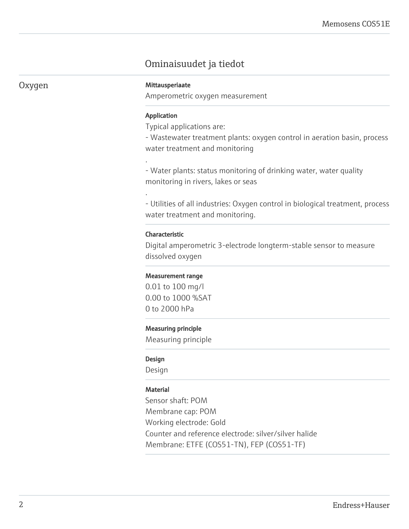# Ominaisuudet ja tiedot

## Oxygen Mittausperiaate

Amperometric oxygen measurement

#### Application

.

.

Typical applications are:

- Wastewater treatment plants: oxygen control in aeration basin, process water treatment and monitoring

- Water plants: status monitoring of drinking water, water quality monitoring in rivers, lakes or seas

- Utilities of all industries: Oxygen control in biological treatment, process water treatment and monitoring.

#### Characteristic

Digital amperometric 3-electrode longterm-stable sensor to measure dissolved oxygen

#### Measurement range

0.01 to 100 mg/l 0.00 to 1000 %SAT 0 to 2000 hPa

#### Measuring principle

Measuring principle

#### Design

Design

#### **Material**

Sensor shaft: POM Membrane cap: POM Working electrode: Gold Counter and reference electrode: silver/silver halide Membrane: ETFE (COS51-TN), FEP (COS51-TF)